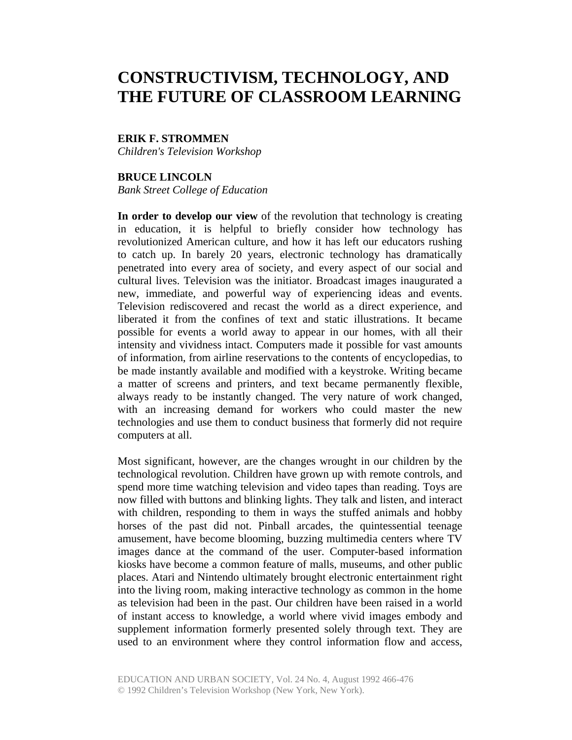# **CONSTRUCTIVISM, TECHNOLOGY, AND THE FUTURE OF CLASSROOM LEARNING**

### **ERIK F. STROMMEN**

*Children's Television Workshop* 

# **BRUCE LINCOLN**

*Bank Street College of Education* 

**In order to develop our view** of the revolution that technology is creating in education, it is helpful to briefly consider how technology has revolutionized American culture, and how it has left our educators rushing to catch up. In barely 20 years, electronic technology has dramatically penetrated into every area of society, and every aspect of our social and cultural lives. Television was the initiator. Broadcast images inaugurated a new, immediate, and powerful way of experiencing ideas and events. Television rediscovered and recast the world as a direct experience, and liberated it from the confines of text and static illustrations. It became possible for events a world away to appear in our homes, with all their intensity and vividness intact. Computers made it possible for vast amounts of information, from airline reservations to the contents of encyclopedias, to be made instantly available and modified with a keystroke. Writing became a matter of screens and printers, and text became permanently flexible, always ready to be instantly changed. The very nature of work changed, with an increasing demand for workers who could master the new technologies and use them to conduct business that formerly did not require computers at all.

Most significant, however, are the changes wrought in our children by the technological revolution. Children have grown up with remote controls, and spend more time watching television and video tapes than reading. Toys are now filled with buttons and blinking lights. They talk and listen, and interact with children, responding to them in ways the stuffed animals and hobby horses of the past did not. Pinball arcades, the quintessential teenage amusement, have become blooming, buzzing multimedia centers where TV images dance at the command of the user. Computer-based information kiosks have become a common feature of malls, museums, and other public places. Atari and Nintendo ultimately brought electronic entertainment right into the living room, making interactive technology as common in the home as television had been in the past. Our children have been raised in a world of instant access to knowledge, a world where vivid images embody and supplement information formerly presented solely through text. They are used to an environment where they control information flow and access,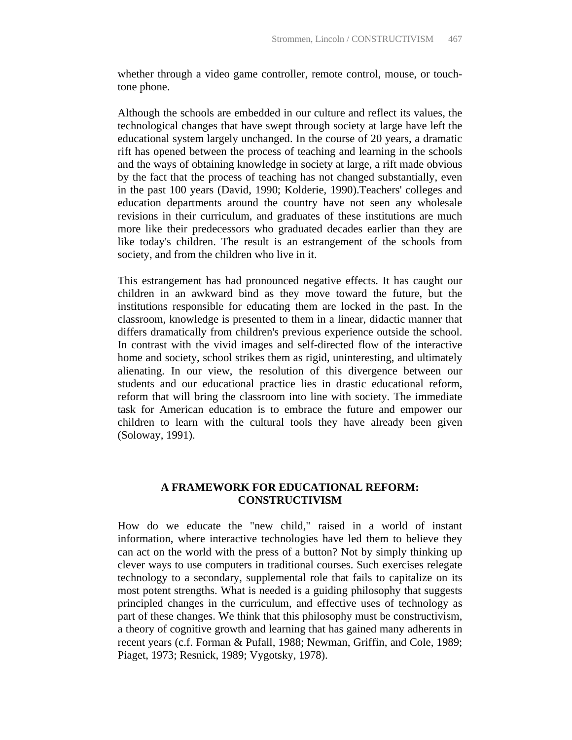whether through a video game controller, remote control, mouse, or touchtone phone.

Although the schools are embedded in our culture and reflect its values, the technological changes that have swept through society at large have left the educational system largely unchanged. In the course of 20 years, a dramatic rift has opened between the process of teaching and learning in the schools and the ways of obtaining knowledge in society at large, a rift made obvious by the fact that the process of teaching has not changed substantially, even in the past 100 years (David, 1990; Kolderie, 1990).Teachers' colleges and education departments around the country have not seen any wholesale revisions in their curriculum, and graduates of these institutions are much more like their predecessors who graduated decades earlier than they are like today's children. The result is an estrangement of the schools from society, and from the children who live in it.

This estrangement has had pronounced negative effects. It has caught our children in an awkward bind as they move toward the future, but the institutions responsible for educating them are locked in the past. In the classroom, knowledge is presented to them in a linear, didactic manner that differs dramatically from children's previous experience outside the school. In contrast with the vivid images and self-directed flow of the interactive home and society, school strikes them as rigid, uninteresting, and ultimately alienating. In our view, the resolution of this divergence between our students and our educational practice lies in drastic educational reform, reform that will bring the classroom into line with society. The immediate task for American education is to embrace the future and empower our children to learn with the cultural tools they have already been given (Soloway, 1991).

## **A FRAMEWORK FOR EDUCATIONAL REFORM: CONSTRUCTIVISM**

How do we educate the "new child," raised in a world of instant information, where interactive technologies have led them to believe they can act on the world with the press of a button? Not by simply thinking up clever ways to use computers in traditional courses. Such exercises relegate technology to a secondary, supplemental role that fails to capitalize on its most potent strengths. What is needed is a guiding philosophy that suggests principled changes in the curriculum, and effective uses of technology as part of these changes. We think that this philosophy must be constructivism, a theory of cognitive growth and learning that has gained many adherents in recent years (c.f. Forman & Pufall, 1988; Newman, Griffin, and Cole, 1989; Piaget, 1973; Resnick, 1989; Vygotsky, 1978).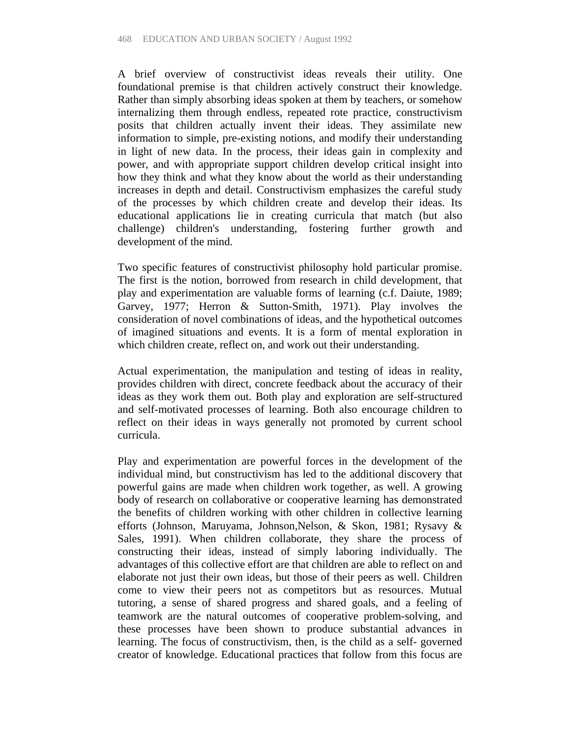A brief overview of constructivist ideas reveals their utility. One foundational premise is that children actively construct their knowledge. Rather than simply absorbing ideas spoken at them by teachers, or somehow internalizing them through endless, repeated rote practice, constructivism posits that children actually invent their ideas. They assimilate new information to simple, pre-existing notions, and modify their understanding in light of new data. In the process, their ideas gain in complexity and power, and with appropriate support children develop critical insight into how they think and what they know about the world as their understanding increases in depth and detail. Constructivism emphasizes the careful study of the processes by which children create and develop their ideas. Its educational applications lie in creating curricula that match (but also challenge) children's understanding, fostering further growth and development of the mind.

Two specific features of constructivist philosophy hold particular promise. The first is the notion, borrowed from research in child development, that play and experimentation are valuable forms of learning (c.f. Daiute, 1989; Garvey, 1977; Herron & Sutton-Smith, 1971). Play involves the consideration of novel combinations of ideas, and the hypothetical outcomes of imagined situations and events. It is a form of mental exploration in which children create, reflect on, and work out their understanding.

Actual experimentation, the manipulation and testing of ideas in reality, provides children with direct, concrete feedback about the accuracy of their ideas as they work them out. Both play and exploration are self-structured and self-motivated processes of learning. Both also encourage children to reflect on their ideas in ways generally not promoted by current school curricula.

Play and experimentation are powerful forces in the development of the individual mind, but constructivism has led to the additional discovery that powerful gains are made when children work together, as well. A growing body of research on collaborative or cooperative learning has demonstrated the benefits of children working with other children in collective learning efforts (Johnson, Maruyama, Johnson,Nelson, & Skon, 1981; Rysavy & Sales, 1991). When children collaborate, they share the process of constructing their ideas, instead of simply laboring individually. The advantages of this collective effort are that children are able to reflect on and elaborate not just their own ideas, but those of their peers as well. Children come to view their peers not as competitors but as resources. Mutual tutoring, a sense of shared progress and shared goals, and a feeling of teamwork are the natural outcomes of cooperative problem-solving, and these processes have been shown to produce substantial advances in learning. The focus of constructivism, then, is the child as a self- governed creator of knowledge. Educational practices that follow from this focus are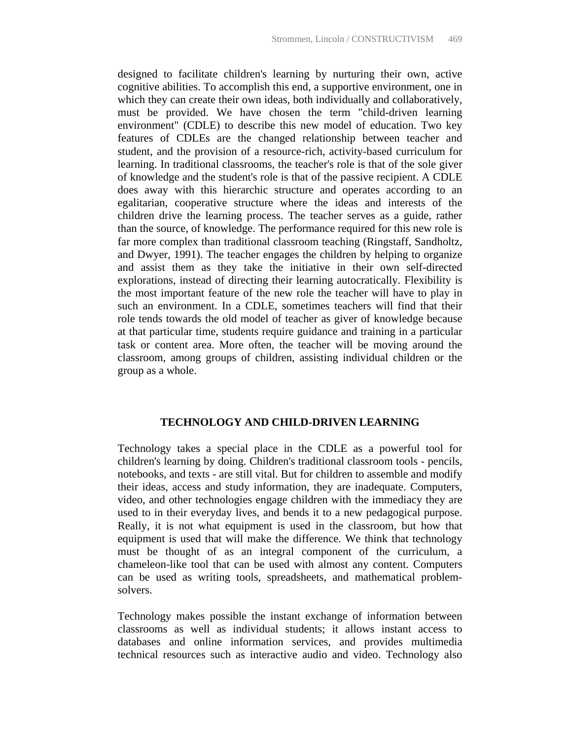designed to facilitate children's learning by nurturing their own, active cognitive abilities. To accomplish this end, a supportive environment, one in which they can create their own ideas, both individually and collaboratively, must be provided. We have chosen the term "child-driven learning environment" (CDLE) to describe this new model of education. Two key features of CDLEs are the changed relationship between teacher and student, and the provision of a resource-rich, activity-based curriculum for learning. In traditional classrooms, the teacher's role is that of the sole giver of knowledge and the student's role is that of the passive recipient. A CDLE does away with this hierarchic structure and operates according to an egalitarian, cooperative structure where the ideas and interests of the children drive the learning process. The teacher serves as a guide, rather than the source, of knowledge. The performance required for this new role is far more complex than traditional classroom teaching (Ringstaff, Sandholtz, and Dwyer, 1991). The teacher engages the children by helping to organize and assist them as they take the initiative in their own self-directed explorations, instead of directing their learning autocratically. Flexibility is the most important feature of the new role the teacher will have to play in such an environment. In a CDLE, sometimes teachers will find that their role tends towards the old model of teacher as giver of knowledge because at that particular time, students require guidance and training in a particular task or content area. More often, the teacher will be moving around the classroom, among groups of children, assisting individual children or the group as a whole.

## **TECHNOLOGY AND CHILD-DRIVEN LEARNING**

Technology takes a special place in the CDLE as a powerful tool for children's learning by doing. Children's traditional classroom tools - pencils, notebooks, and texts - are still vital. But for children to assemble and modify their ideas, access and study information, they are inadequate. Computers, video, and other technologies engage children with the immediacy they are used to in their everyday lives, and bends it to a new pedagogical purpose. Really, it is not what equipment is used in the classroom, but how that equipment is used that will make the difference. We think that technology must be thought of as an integral component of the curriculum, a chameleon-like tool that can be used with almost any content. Computers can be used as writing tools, spreadsheets, and mathematical problemsolvers.

Technology makes possible the instant exchange of information between classrooms as well as individual students; it allows instant access to databases and online information services, and provides multimedia technical resources such as interactive audio and video. Technology also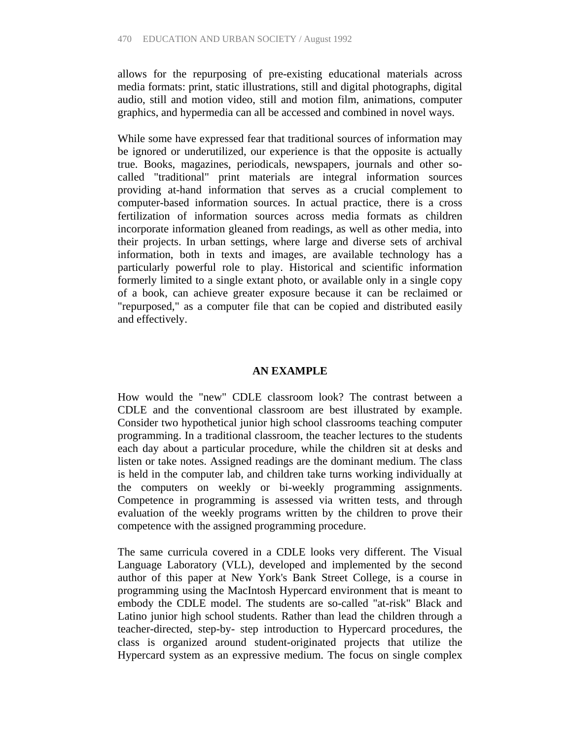allows for the repurposing of pre-existing educational materials across media formats: print, static illustrations, still and digital photographs, digital audio, still and motion video, still and motion film, animations, computer graphics, and hypermedia can all be accessed and combined in novel ways.

While some have expressed fear that traditional sources of information may be ignored or underutilized, our experience is that the opposite is actually true. Books, magazines, periodicals, newspapers, journals and other socalled "traditional" print materials are integral information sources providing at-hand information that serves as a crucial complement to computer-based information sources. In actual practice, there is a cross fertilization of information sources across media formats as children incorporate information gleaned from readings, as well as other media, into their projects. In urban settings, where large and diverse sets of archival information, both in texts and images, are available technology has a particularly powerful role to play. Historical and scientific information formerly limited to a single extant photo, or available only in a single copy of a book, can achieve greater exposure because it can be reclaimed or "repurposed," as a computer file that can be copied and distributed easily and effectively.

## **AN EXAMPLE**

How would the "new" CDLE classroom look? The contrast between a CDLE and the conventional classroom are best illustrated by example. Consider two hypothetical junior high school classrooms teaching computer programming. In a traditional classroom, the teacher lectures to the students each day about a particular procedure, while the children sit at desks and listen or take notes. Assigned readings are the dominant medium. The class is held in the computer lab, and children take turns working individually at the computers on weekly or bi-weekly programming assignments. Competence in programming is assessed via written tests, and through evaluation of the weekly programs written by the children to prove their competence with the assigned programming procedure.

The same curricula covered in a CDLE looks very different. The Visual Language Laboratory (VLL), developed and implemented by the second author of this paper at New York's Bank Street College, is a course in programming using the MacIntosh Hypercard environment that is meant to embody the CDLE model. The students are so-called "at-risk" Black and Latino junior high school students. Rather than lead the children through a teacher-directed, step-by- step introduction to Hypercard procedures, the class is organized around student-originated projects that utilize the Hypercard system as an expressive medium. The focus on single complex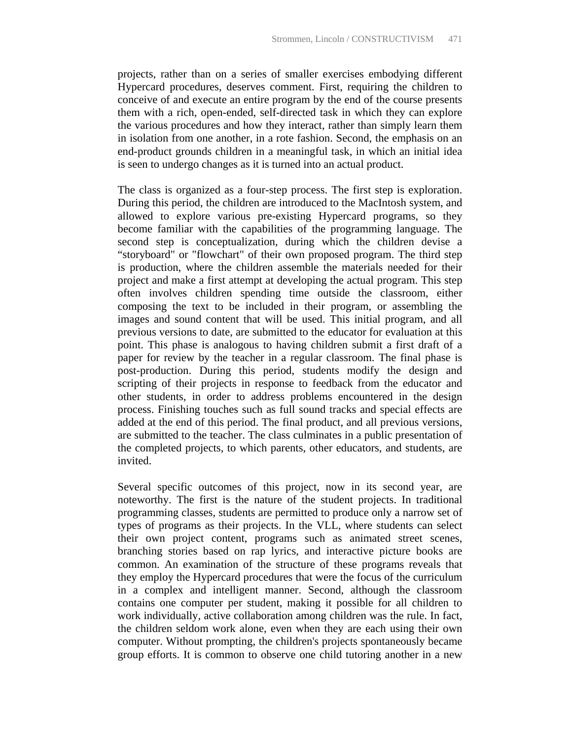projects, rather than on a series of smaller exercises embodying different Hypercard procedures, deserves comment. First, requiring the children to conceive of and execute an entire program by the end of the course presents them with a rich, open-ended, self-directed task in which they can explore the various procedures and how they interact, rather than simply learn them in isolation from one another, in a rote fashion. Second, the emphasis on an end-product grounds children in a meaningful task, in which an initial idea is seen to undergo changes as it is turned into an actual product.

The class is organized as a four-step process. The first step is exploration. During this period, the children are introduced to the MacIntosh system, and allowed to explore various pre-existing Hypercard programs, so they become familiar with the capabilities of the programming language. The second step is conceptualization, during which the children devise a "storyboard" or "flowchart" of their own proposed program. The third step is production, where the children assemble the materials needed for their project and make a first attempt at developing the actual program. This step often involves children spending time outside the classroom, either composing the text to be included in their program, or assembling the images and sound content that will be used. This initial program, and all previous versions to date, are submitted to the educator for evaluation at this point. This phase is analogous to having children submit a first draft of a paper for review by the teacher in a regular classroom. The final phase is post-production. During this period, students modify the design and scripting of their projects in response to feedback from the educator and other students, in order to address problems encountered in the design process. Finishing touches such as full sound tracks and special effects are added at the end of this period. The final product, and all previous versions, are submitted to the teacher. The class culminates in a public presentation of the completed projects, to which parents, other educators, and students, are invited.

Several specific outcomes of this project, now in its second year, are noteworthy. The first is the nature of the student projects. In traditional programming classes, students are permitted to produce only a narrow set of types of programs as their projects. In the VLL, where students can select their own project content, programs such as animated street scenes, branching stories based on rap lyrics, and interactive picture books are common. An examination of the structure of these programs reveals that they employ the Hypercard procedures that were the focus of the curriculum in a complex and intelligent manner. Second, although the classroom contains one computer per student, making it possible for all children to work individually, active collaboration among children was the rule. In fact, the children seldom work alone, even when they are each using their own computer. Without prompting, the children's projects spontaneously became group efforts. It is common to observe one child tutoring another in a new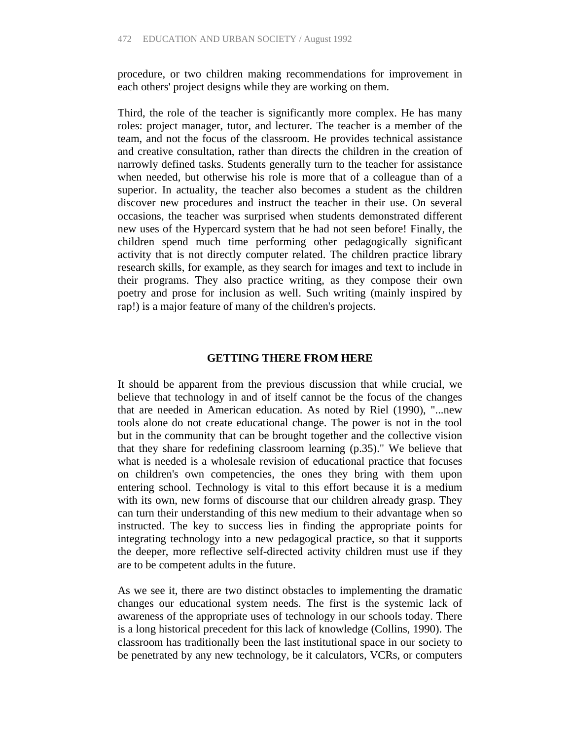procedure, or two children making recommendations for improvement in each others' project designs while they are working on them.

Third, the role of the teacher is significantly more complex. He has many roles: project manager, tutor, and lecturer. The teacher is a member of the team, and not the focus of the classroom. He provides technical assistance and creative consultation, rather than directs the children in the creation of narrowly defined tasks. Students generally turn to the teacher for assistance when needed, but otherwise his role is more that of a colleague than of a superior. In actuality, the teacher also becomes a student as the children discover new procedures and instruct the teacher in their use. On several occasions, the teacher was surprised when students demonstrated different new uses of the Hypercard system that he had not seen before! Finally, the children spend much time performing other pedagogically significant activity that is not directly computer related. The children practice library research skills, for example, as they search for images and text to include in their programs. They also practice writing, as they compose their own poetry and prose for inclusion as well. Such writing (mainly inspired by rap!) is a major feature of many of the children's projects.

#### **GETTING THERE FROM HERE**

It should be apparent from the previous discussion that while crucial, we believe that technology in and of itself cannot be the focus of the changes that are needed in American education. As noted by Riel (1990), "...new tools alone do not create educational change. The power is not in the tool but in the community that can be brought together and the collective vision that they share for redefining classroom learning (p.35)." We believe that what is needed is a wholesale revision of educational practice that focuses on children's own competencies, the ones they bring with them upon entering school. Technology is vital to this effort because it is a medium with its own, new forms of discourse that our children already grasp. They can turn their understanding of this new medium to their advantage when so instructed. The key to success lies in finding the appropriate points for integrating technology into a new pedagogical practice, so that it supports the deeper, more reflective self-directed activity children must use if they are to be competent adults in the future.

As we see it, there are two distinct obstacles to implementing the dramatic changes our educational system needs. The first is the systemic lack of awareness of the appropriate uses of technology in our schools today. There is a long historical precedent for this lack of knowledge (Collins, 1990). The classroom has traditionally been the last institutional space in our society to be penetrated by any new technology, be it calculators, VCRs, or computers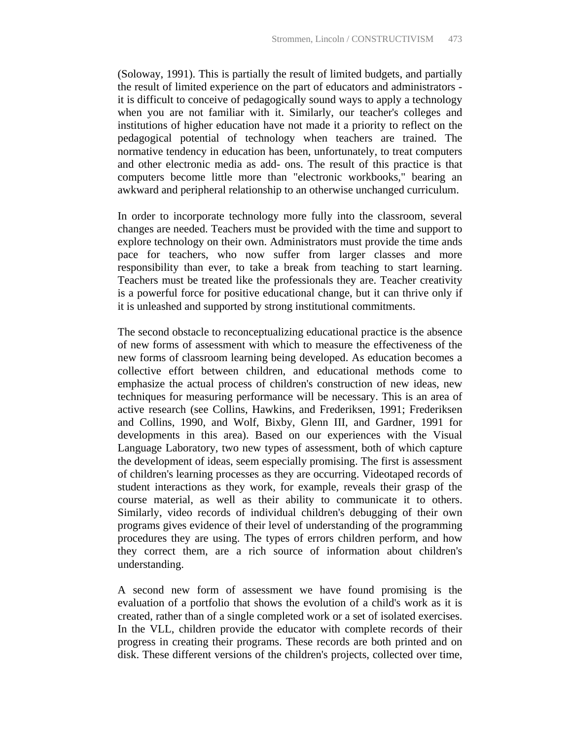(Soloway, 1991). This is partially the result of limited budgets, and partially the result of limited experience on the part of educators and administrators it is difficult to conceive of pedagogically sound ways to apply a technology when you are not familiar with it. Similarly, our teacher's colleges and institutions of higher education have not made it a priority to reflect on the pedagogical potential of technology when teachers are trained. The normative tendency in education has been, unfortunately, to treat computers and other electronic media as add- ons. The result of this practice is that computers become little more than "electronic workbooks," bearing an awkward and peripheral relationship to an otherwise unchanged curriculum.

In order to incorporate technology more fully into the classroom, several changes are needed. Teachers must be provided with the time and support to explore technology on their own. Administrators must provide the time ands pace for teachers, who now suffer from larger classes and more responsibility than ever, to take a break from teaching to start learning. Teachers must be treated like the professionals they are. Teacher creativity is a powerful force for positive educational change, but it can thrive only if it is unleashed and supported by strong institutional commitments.

The second obstacle to reconceptualizing educational practice is the absence of new forms of assessment with which to measure the effectiveness of the new forms of classroom learning being developed. As education becomes a collective effort between children, and educational methods come to emphasize the actual process of children's construction of new ideas, new techniques for measuring performance will be necessary. This is an area of active research (see Collins, Hawkins, and Frederiksen, 1991; Frederiksen and Collins, 1990, and Wolf, Bixby, Glenn III, and Gardner, 1991 for developments in this area). Based on our experiences with the Visual Language Laboratory, two new types of assessment, both of which capture the development of ideas, seem especially promising. The first is assessment of children's learning processes as they are occurring. Videotaped records of student interactions as they work, for example, reveals their grasp of the course material, as well as their ability to communicate it to others. Similarly, video records of individual children's debugging of their own programs gives evidence of their level of understanding of the programming procedures they are using. The types of errors children perform, and how they correct them, are a rich source of information about children's understanding.

A second new form of assessment we have found promising is the evaluation of a portfolio that shows the evolution of a child's work as it is created, rather than of a single completed work or a set of isolated exercises. In the VLL, children provide the educator with complete records of their progress in creating their programs. These records are both printed and on disk. These different versions of the children's projects, collected over time,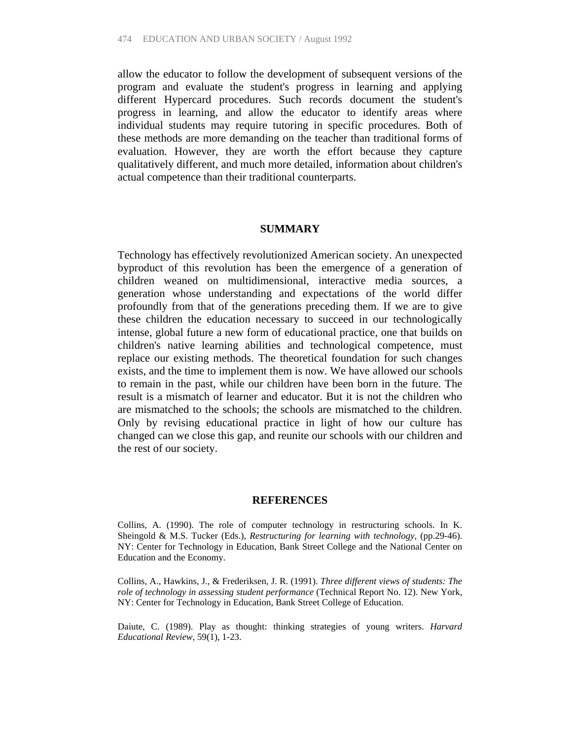allow the educator to follow the development of subsequent versions of the program and evaluate the student's progress in learning and applying different Hypercard procedures. Such records document the student's progress in learning, and allow the educator to identify areas where individual students may require tutoring in specific procedures. Both of these methods are more demanding on the teacher than traditional forms of evaluation. However, they are worth the effort because they capture qualitatively different, and much more detailed, information about children's actual competence than their traditional counterparts.

#### **SUMMARY**

Technology has effectively revolutionized American society. An unexpected byproduct of this revolution has been the emergence of a generation of children weaned on multidimensional, interactive media sources, a generation whose understanding and expectations of the world differ profoundly from that of the generations preceding them. If we are to give these children the education necessary to succeed in our technologically intense, global future a new form of educational practice, one that builds on children's native learning abilities and technological competence, must replace our existing methods. The theoretical foundation for such changes exists, and the time to implement them is now. We have allowed our schools to remain in the past, while our children have been born in the future. The result is a mismatch of learner and educator. But it is not the children who are mismatched to the schools; the schools are mismatched to the children. Only by revising educational practice in light of how our culture has changed can we close this gap, and reunite our schools with our children and the rest of our society.

## **REFERENCES**

Collins, A. (1990). The role of computer technology in restructuring schools. In K. Sheingold & M.S. Tucker (Eds.), *Restructuring for learning with technology*, (pp.29-46). NY: Center for Technology in Education, Bank Street College and the National Center on Education and the Economy.

Collins, A., Hawkins, J., & Frederiksen, J. R. (1991). *Three different views of students: The role of technology in assessing student performance* (Technical Report No. 12). New York, NY: Center for Technology in Education, Bank Street College of Education.

Daiute, C. (1989). Play as thought: thinking strategies of young writers. *Harvard Educational Review*, 59(1), 1-23.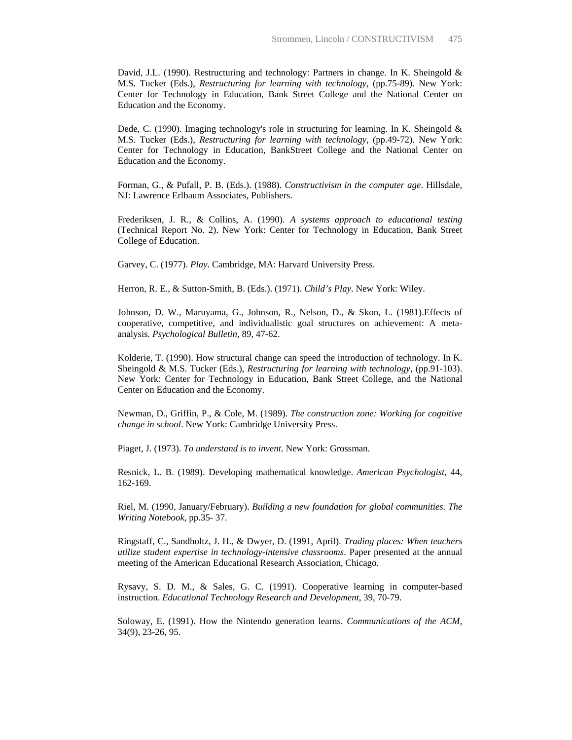David, J.L. (1990). Restructuring and technology: Partners in change. In K. Sheingold & M.S. Tucker (Eds.), *Restructuring for learning with technology*, (pp.75-89). New York: Center for Technology in Education, Bank Street College and the National Center on Education and the Economy.

Dede, C. (1990). Imaging technology's role in structuring for learning. In K. Sheingold & M.S. Tucker (Eds.), *Restructuring for learning with technology*, (pp.49-72). New York: Center for Technology in Education, BankStreet College and the National Center on Education and the Economy.

Forman, G., & Pufall, P. B. (Eds.). (1988). *Constructivism in the computer age*. Hillsdale, NJ: Lawrence Erlbaum Associates, Publishers.

Frederiksen, J. R., & Collins, A. (1990). *A systems approach to educational testing* (Technical Report No. 2). New York: Center for Technology in Education, Bank Street College of Education.

Garvey, C. (1977). *Play*. Cambridge, MA: Harvard University Press.

Herron, R. E., & Sutton-Smith, B. (Eds.). (1971). *Child's Play*. New York: Wiley.

Johnson, D. W., Maruyama, G., Johnson, R., Nelson, D., & Skon, L. (1981).Effects of cooperative, competitive, and individualistic goal structures on achievement: A metaanalysis. *Psychological Bulletin*, 89, 47-62.

Kolderie, T. (1990). How structural change can speed the introduction of technology. In K. Sheingold & M.S. Tucker (Eds.), *Restructuring for learning with technology*, (pp.91-103). New York: Center for Technology in Education, Bank Street College, and the National Center on Education and the Economy.

Newman, D., Griffin, P., & Cole, M. (1989). *The construction zone: Working for cognitive change in school*. New York: Cambridge University Press.

Piaget, J. (1973). *To understand is to invent*. New York: Grossman.

Resnick, L. B. (1989). Developing mathematical knowledge. *American Psychologist*, 44, 162-169.

Riel, M. (1990, January/February). *Building a new foundation for global communities. The Writing Notebook*, pp.35- 37.

Ringstaff, C., Sandholtz, J. H., & Dwyer, D. (1991, April). *Trading places: When teachers utilize student expertise in technology-intensive classrooms*. Paper presented at the annual meeting of the American Educational Research Association, Chicago.

Rysavy, S. D. M., & Sales, G. C. (1991). Cooperative learning in computer-based instruction. *Educational Technology Research and Development*, 39, 70-79.

Soloway, E. (1991). How the Nintendo generation learns. *Communications of the ACM*, 34(9), 23-26, 95.